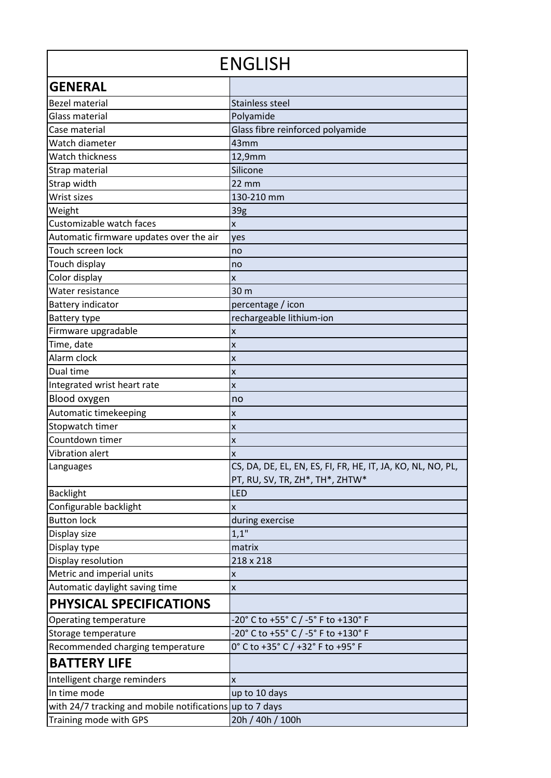| <b>ENGLISH</b>                                           |                                                                                                |
|----------------------------------------------------------|------------------------------------------------------------------------------------------------|
| <b>GENERAL</b>                                           |                                                                                                |
| <b>Bezel material</b>                                    | <b>Stainless steel</b>                                                                         |
| Glass material                                           | Polyamide                                                                                      |
| Case material                                            | Glass fibre reinforced polyamide                                                               |
| Watch diameter                                           | 43mm                                                                                           |
| <b>Watch thickness</b>                                   | 12,9mm                                                                                         |
| Strap material                                           | Silicone                                                                                       |
| Strap width                                              | $22 \, \text{mm}$                                                                              |
| Wrist sizes                                              | 130-210 mm                                                                                     |
| Weight                                                   | 39g                                                                                            |
| Customizable watch faces                                 | x                                                                                              |
| Automatic firmware updates over the air                  | yes                                                                                            |
| Touch screen lock                                        | no                                                                                             |
| Touch display                                            | no                                                                                             |
| Color display                                            | X                                                                                              |
| Water resistance                                         | 30 m                                                                                           |
| <b>Battery indicator</b>                                 | percentage / icon                                                                              |
| Battery type                                             | rechargeable lithium-ion                                                                       |
| Firmware upgradable                                      | X                                                                                              |
| Time, date                                               | X                                                                                              |
| Alarm clock                                              | X                                                                                              |
| Dual time                                                | X                                                                                              |
| Integrated wrist heart rate                              | X                                                                                              |
| Blood oxygen                                             | no                                                                                             |
| Automatic timekeeping                                    | X                                                                                              |
| Stopwatch timer                                          | X                                                                                              |
| Countdown timer                                          | X                                                                                              |
| <b>Vibration alert</b>                                   | X                                                                                              |
| Languages                                                | CS, DA, DE, EL, EN, ES, FI, FR, HE, IT, JA, KO, NL, NO, PL,<br>PT, RU, SV, TR, ZH*, TH*, ZHTW* |
| <b>Backlight</b>                                         | <b>LED</b>                                                                                     |
| Configurable backlight                                   | X                                                                                              |
| <b>Button lock</b>                                       | during exercise                                                                                |
| Display size                                             | 1,1"                                                                                           |
| Display type                                             | matrix                                                                                         |
| Display resolution                                       | 218 x 218                                                                                      |
| Metric and imperial units                                | X                                                                                              |
| Automatic daylight saving time                           | $\pmb{\mathsf{x}}$                                                                             |
| <b>PHYSICAL SPECIFICATIONS</b>                           |                                                                                                |
| Operating temperature                                    | -20° C to +55° C / -5° F to +130° F                                                            |
| Storage temperature                                      | -20° C to +55° C / -5° F to +130° F                                                            |
| Recommended charging temperature                         | 0° C to +35° C / +32° F to +95° F                                                              |
| <b>BATTERY LIFE</b>                                      |                                                                                                |
| Intelligent charge reminders                             | X                                                                                              |
| In time mode                                             | up to 10 days                                                                                  |
| with 24/7 tracking and mobile notifications up to 7 days |                                                                                                |
| Training mode with GPS                                   | 20h / 40h / 100h                                                                               |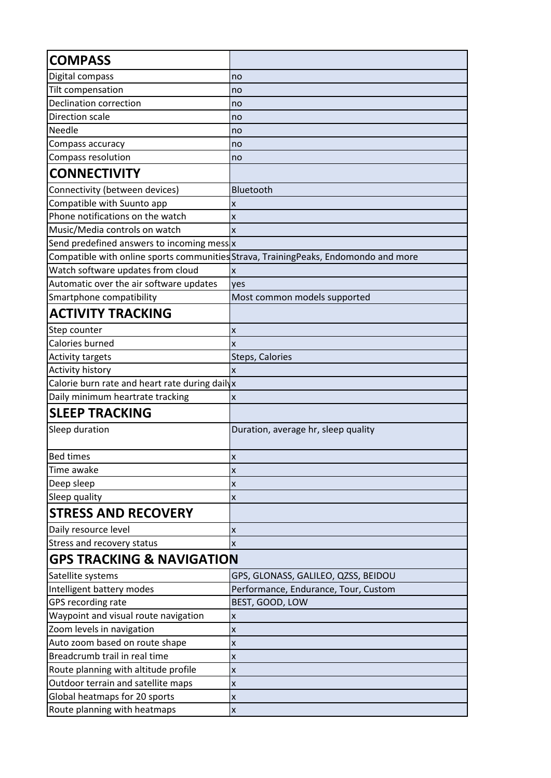| <b>COMPASS</b>                                 |                                                                                      |
|------------------------------------------------|--------------------------------------------------------------------------------------|
| Digital compass                                | no                                                                                   |
| Tilt compensation                              | no                                                                                   |
| <b>Declination correction</b>                  | no                                                                                   |
| Direction scale                                | no                                                                                   |
| Needle                                         | no                                                                                   |
| Compass accuracy                               | no                                                                                   |
| Compass resolution                             | no                                                                                   |
| <b>CONNECTIVITY</b>                            |                                                                                      |
| Connectivity (between devices)                 | Bluetooth                                                                            |
| Compatible with Suunto app                     | x                                                                                    |
| Phone notifications on the watch               | X                                                                                    |
| Music/Media controls on watch                  | X                                                                                    |
| Send predefined answers to incoming mess x     |                                                                                      |
|                                                | Compatible with online sports communities Strava, Training Peaks, Endomondo and more |
| Watch software updates from cloud              | X                                                                                    |
| Automatic over the air software updates        | ves                                                                                  |
| Smartphone compatibility                       | Most common models supported                                                         |
| <b>ACTIVITY TRACKING</b>                       |                                                                                      |
| Step counter                                   | X                                                                                    |
| Calories burned                                | X                                                                                    |
| <b>Activity targets</b>                        | Steps, Calories                                                                      |
| Activity history                               | X                                                                                    |
| Calorie burn rate and heart rate during dailyx |                                                                                      |
| Daily minimum heartrate tracking               | X                                                                                    |
| <b>SLEEP TRACKING</b>                          |                                                                                      |
| Sleep duration                                 | Duration, average hr, sleep quality                                                  |
| <b>Bed times</b>                               | X                                                                                    |
| Time awake                                     | X                                                                                    |
| Deep sleep                                     | x                                                                                    |
| Sleep quality                                  | X                                                                                    |
| <b>STRESS AND RECOVERY</b>                     |                                                                                      |
| Daily resource level                           | X                                                                                    |
| Stress and recovery status                     | X                                                                                    |
| <b>GPS TRACKING &amp; NAVIGATION</b>           |                                                                                      |
| Satellite systems                              | GPS, GLONASS, GALILEO, QZSS, BEIDOU                                                  |
| Intelligent battery modes                      | Performance, Endurance, Tour, Custom                                                 |
| GPS recording rate                             | BEST, GOOD, LOW                                                                      |
| Waypoint and visual route navigation           | X                                                                                    |
| Zoom levels in navigation                      | X                                                                                    |
| Auto zoom based on route shape                 | X                                                                                    |
| Breadcrumb trail in real time                  | X                                                                                    |
| Route planning with altitude profile           | X                                                                                    |
| Outdoor terrain and satellite maps             | X                                                                                    |
| Global heatmaps for 20 sports                  | X                                                                                    |
| Route planning with heatmaps                   | X                                                                                    |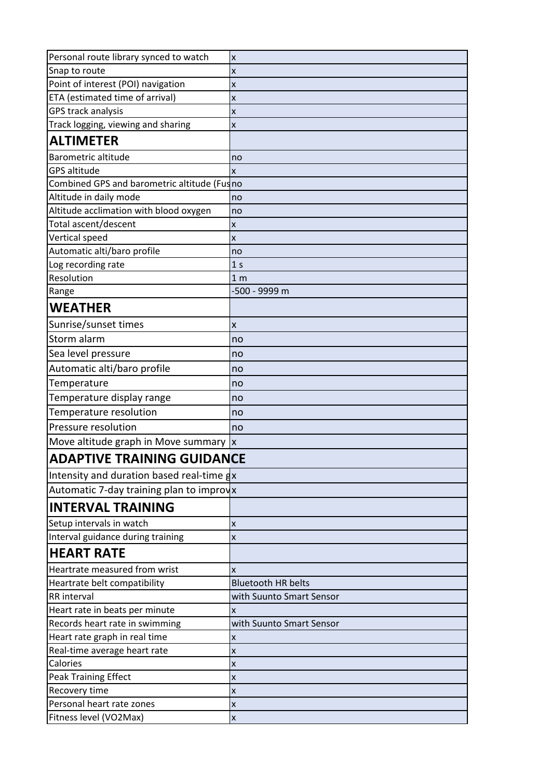| Personal route library synced to watch                | X                         |
|-------------------------------------------------------|---------------------------|
| Snap to route                                         | X                         |
| Point of interest (POI) navigation                    | X                         |
| ETA (estimated time of arrival)                       | X                         |
| GPS track analysis                                    | X                         |
| Track logging, viewing and sharing                    | X                         |
| <b>ALTIMETER</b>                                      |                           |
| Barometric altitude                                   | no                        |
| <b>GPS altitude</b>                                   | X                         |
| Combined GPS and barometric altitude (Fusno           |                           |
| Altitude in daily mode                                | no                        |
| Altitude acclimation with blood oxygen                | no                        |
| Total ascent/descent                                  | X                         |
| Vertical speed                                        | X                         |
| Automatic alti/baro profile                           | no                        |
| Log recording rate                                    | 1 <sub>s</sub>            |
| Resolution                                            | 1 <sub>m</sub>            |
| Range                                                 | -500 - 9999 m             |
| <b>WEATHER</b>                                        |                           |
| Sunrise/sunset times                                  | X                         |
| Storm alarm                                           | no                        |
| Sea level pressure                                    | no                        |
| Automatic alti/baro profile                           | no                        |
| Temperature                                           | no                        |
| Temperature display range                             | no                        |
| Temperature resolution                                | no                        |
| Pressure resolution                                   | no                        |
| Move altitude graph in Move summary $\vert x \vert$   |                           |
| <b>ADAPTIVE TRAINING GUIDANCE</b>                     |                           |
| Intensity and duration based real-time $\frac{1}{4}x$ |                           |
| Automatic 7-day training plan to improyx              |                           |
| <b>INTERVAL TRAINING</b>                              |                           |
| Setup intervals in watch                              | X                         |
| Interval guidance during training                     | X                         |
| <b>HEART RATE</b>                                     |                           |
| Heartrate measured from wrist                         | X                         |
| Heartrate belt compatibility                          | <b>Bluetooth HR belts</b> |
| RR interval                                           | with Suunto Smart Sensor  |
| Heart rate in beats per minute                        | X                         |
| Records heart rate in swimming                        | with Suunto Smart Sensor  |
| Heart rate graph in real time                         | X                         |
| Real-time average heart rate                          | X                         |
| Calories                                              | X                         |
| Peak Training Effect                                  | X                         |
| Recovery time                                         | X                         |
| Personal heart rate zones                             | X                         |
| Fitness level (VO2Max)                                | X                         |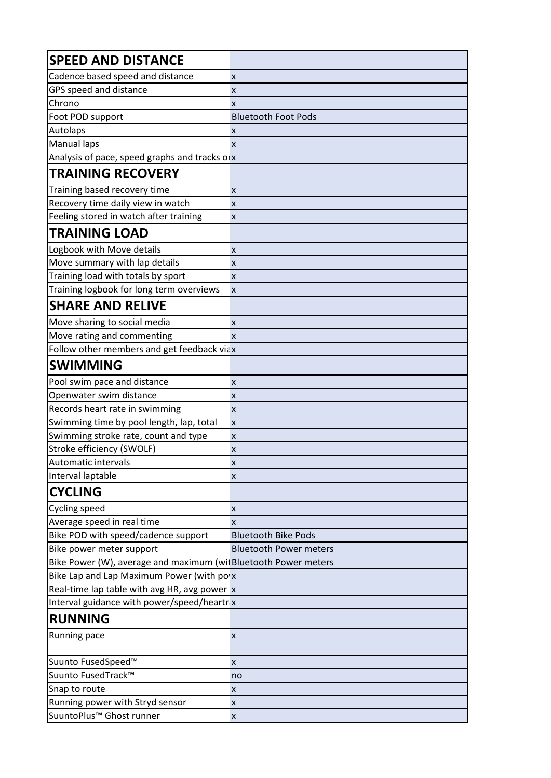| <b>SPEED AND DISTANCE</b>                                      |                               |
|----------------------------------------------------------------|-------------------------------|
| Cadence based speed and distance                               | X                             |
| GPS speed and distance                                         | X                             |
| Chrono                                                         | X                             |
| Foot POD support                                               | <b>Bluetooth Foot Pods</b>    |
| Autolaps                                                       | X                             |
| Manual laps                                                    | X                             |
| Analysis of pace, speed graphs and tracks olx                  |                               |
| <b>TRAINING RECOVERY</b>                                       |                               |
| Training based recovery time                                   | X                             |
| Recovery time daily view in watch                              | X                             |
| Feeling stored in watch after training                         | X                             |
| <b>TRAINING LOAD</b>                                           |                               |
| Logbook with Move details                                      | X                             |
| Move summary with lap details                                  | X                             |
| Training load with totals by sport                             | X                             |
| Training logbook for long term overviews                       | X                             |
| <b>SHARE AND RELIVE</b>                                        |                               |
| Move sharing to social media                                   | X                             |
| Move rating and commenting                                     | X                             |
| Follow other members and get feedback viax                     |                               |
| <b>SWIMMING</b>                                                |                               |
| Pool swim pace and distance                                    | X                             |
| Openwater swim distance                                        | X                             |
| Records heart rate in swimming                                 | X                             |
| Swimming time by pool length, lap, total                       | $\overline{\mathsf{x}}$       |
| Swimming stroke rate, count and type                           | X                             |
| Stroke efficiency (SWOLF)                                      | X                             |
| Automatic intervals                                            | X                             |
| Interval laptable                                              | X                             |
| <b>CYCLING</b>                                                 |                               |
| Cycling speed                                                  | X                             |
| Average speed in real time                                     | X                             |
| Bike POD with speed/cadence support                            | <b>Bluetooth Bike Pods</b>    |
| Bike power meter support                                       | <b>Bluetooth Power meters</b> |
| Bike Power (W), average and maximum (wi Bluetooth Power meters |                               |
| Bike Lap and Lap Maximum Power (with polx                      |                               |
| Real-time lap table with avg HR, avg power $\mathbf{x}$        |                               |
| Interval guidance with power/speed/heartrx                     |                               |
| <b>RUNNING</b>                                                 |                               |
| Running pace                                                   | X                             |
| Suunto FusedSpeed™                                             | X                             |
| Suunto FusedTrack™                                             | no                            |
| Snap to route                                                  | X                             |
| Running power with Stryd sensor                                | X                             |
| SuuntoPlus <sup>™</sup> Ghost runner                           | X                             |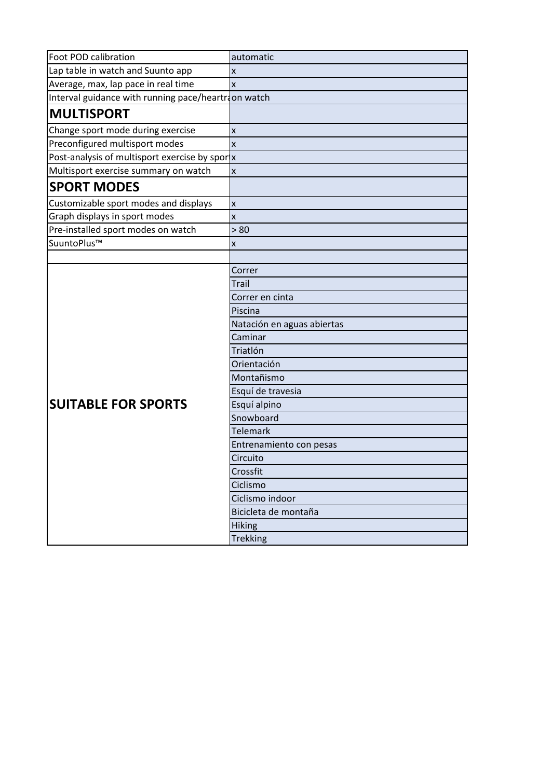| Foot POD calibration                               | automatic                  |
|----------------------------------------------------|----------------------------|
| Lap table in watch and Suunto app                  | X                          |
| Average, max, lap pace in real time                | x                          |
| Interval guidance with running pace/heartron watch |                            |
| <b>MULTISPORT</b>                                  |                            |
| Change sport mode during exercise                  | X                          |
| Preconfigured multisport modes                     | X                          |
| Post-analysis of multisport exercise by spor x     |                            |
| Multisport exercise summary on watch               | $\pmb{\mathsf{x}}$         |
| <b>SPORT MODES</b>                                 |                            |
| Customizable sport modes and displays              | $\pmb{\mathsf{x}}$         |
| Graph displays in sport modes                      | $\pmb{\mathsf{x}}$         |
| Pre-installed sport modes on watch                 | > 80                       |
| SuuntoPlus™                                        | X                          |
|                                                    |                            |
|                                                    | Correr                     |
|                                                    | Trail                      |
|                                                    | Correr en cinta            |
|                                                    | Piscina                    |
|                                                    | Natación en aguas abiertas |
|                                                    | Caminar                    |
|                                                    | Triatlón                   |
|                                                    | Orientación                |
|                                                    | Montañismo                 |
|                                                    | Esquí de travesia          |
| <b>SUITABLE FOR SPORTS</b>                         | Esquí alpino               |
|                                                    | Snowboard                  |
|                                                    | <b>Telemark</b>            |
|                                                    | Entrenamiento con pesas    |
|                                                    | Circuito                   |
|                                                    | Crossfit                   |
|                                                    | Ciclismo                   |
|                                                    | Ciclismo indoor            |
|                                                    | Bicicleta de montaña       |
|                                                    | <b>Hiking</b>              |
|                                                    | <b>Trekking</b>            |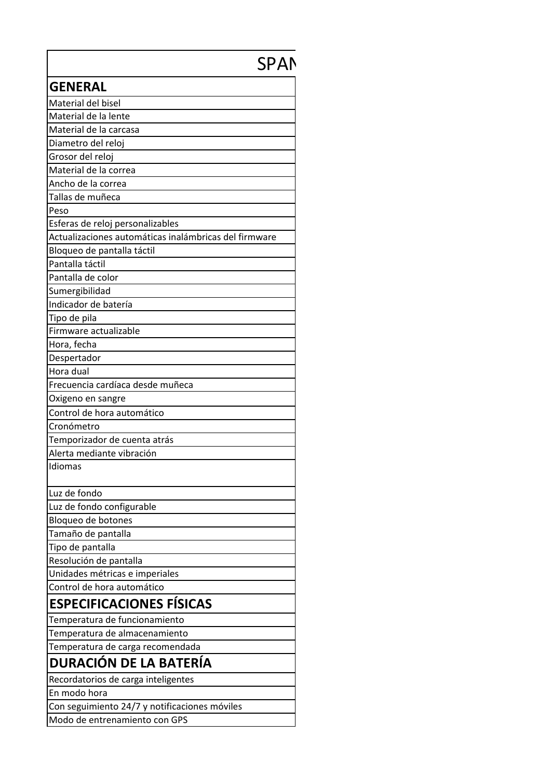# SPAN

| <b>GENERAL</b>                                        |
|-------------------------------------------------------|
| Material del bisel                                    |
| Material de la lente                                  |
| Material de la carcasa                                |
| Diametro del reloj                                    |
| Grosor del reloj                                      |
| Material de la correa                                 |
| Ancho de la correa                                    |
| Tallas de muñeca                                      |
| Peso                                                  |
| Esferas de reloj personalizables                      |
| Actualizaciones automáticas inalámbricas del firmware |
| Bloqueo de pantalla táctil                            |
| Pantalla táctil                                       |
| Pantalla de color                                     |
| Sumergibilidad                                        |
| Indicador de batería                                  |
| Tipo de pila                                          |
| Firmware actualizable                                 |
| Hora, fecha                                           |
| Despertador                                           |
| Hora dual                                             |
| Frecuencia cardíaca desde muñeca                      |
| Oxigeno en sangre                                     |
| Control de hora automático                            |
| Cronómetro                                            |
| Temporizador de cuenta atrás                          |
| Alerta mediante vibración                             |
| Idiomas                                               |
| Luz de fondo                                          |
| Luz de fondo configurable                             |
| Bloqueo de botones                                    |
| Tamaño de pantalla                                    |
| Tipo de pantalla                                      |
| Resolución de pantalla                                |
| Unidades métricas e imperiales                        |
| Control de hora automático                            |
| <b>ESPECIFICACIONES FÍSICAS</b>                       |
| Temperatura de funcionamiento                         |
| Temperatura de almacenamiento                         |
| Temperatura de carga recomendada                      |
| <b>DURACIÓN DE LA BATERÍA</b>                         |
| Recordatorios de carga inteligentes                   |
| En modo hora                                          |
| Con seguimiento 24/7 y notificaciones móviles         |
| Modo de entrenamiento con GPS                         |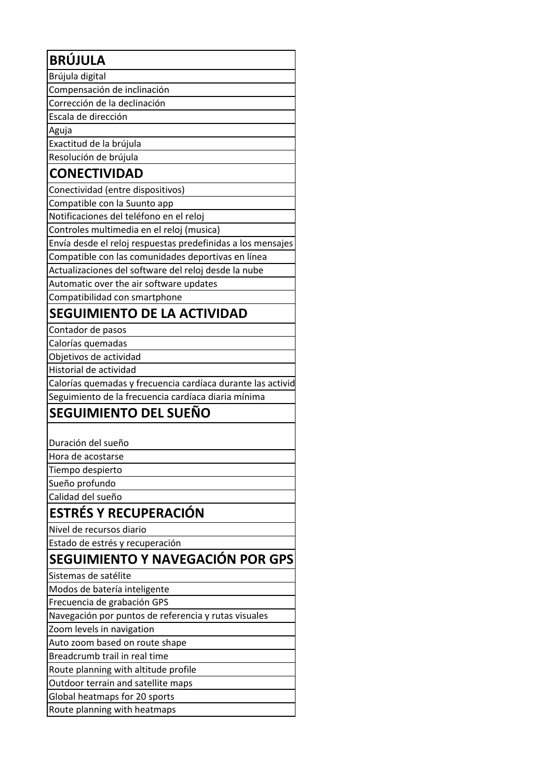| <b>BRÚJULA</b>                                              |
|-------------------------------------------------------------|
| Brújula digital                                             |
| Compensación de inclinación                                 |
| Corrección de la declinación                                |
| Escala de dirección                                         |
| Aguja                                                       |
| Exactitud de la brújula                                     |
| Resolución de brújula                                       |
| <b>CONECTIVIDAD</b>                                         |
| Conectividad (entre dispositivos)                           |
| Compatible con la Suunto app                                |
| Notificaciones del teléfono en el reloj                     |
| Controles multimedia en el reloj (musica)                   |
| Envía desde el reloj respuestas predefinidas a los mensajes |
| Compatible con las comunidades deportivas en línea          |
| Actualizaciones del software del reloj desde la nube        |
| Automatic over the air software updates                     |
| Compatibilidad con smartphone                               |
| <b>SEGUIMIENTO DE LA ACTIVIDAD</b>                          |
| Contador de pasos                                           |
| Calorías quemadas                                           |
| Objetivos de actividad                                      |
| Historial de actividad                                      |
| Calorías quemadas y frecuencia cardíaca durante las activid |
| Seguimiento de la frecuencia cardíaca diaria mínima         |
| <b>SEGUIMIENTO DEL SUEÑO</b>                                |
|                                                             |
| Duración del sueño                                          |
| Hora de acostarse                                           |
| Tiempo despierto                                            |
| Sueño profundo                                              |
| Calidad del sueño                                           |
| <b>ESTRÉS Y RECUPERACIÓN</b>                                |
| Nivel de recursos diario                                    |
| Estado de estrés y recuperación                             |
| SEGUIMIENTO Y NAVEGACIÓN POR GPS                            |
|                                                             |
| Sistemas de satélite                                        |
| Modos de batería inteligente                                |
| Frecuencia de grabación GPS                                 |
| Navegación por puntos de referencia y rutas visuales        |
| Zoom levels in navigation                                   |
| Auto zoom based on route shape                              |
| Breadcrumb trail in real time                               |
| Route planning with altitude profile                        |
| Outdoor terrain and satellite maps                          |
| Global heatmaps for 20 sports                               |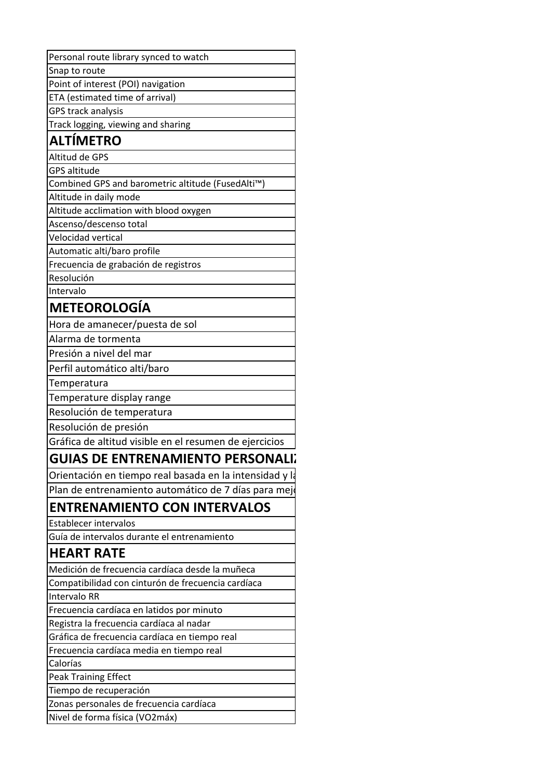| Snap to route                                                                                                   |
|-----------------------------------------------------------------------------------------------------------------|
| Point of interest (POI) navigation                                                                              |
| ETA (estimated time of arrival)                                                                                 |
| GPS track analysis                                                                                              |
| Track logging, viewing and sharing                                                                              |
| <b>ALTÍMETRO</b>                                                                                                |
| Altitud de GPS                                                                                                  |
| <b>GPS altitude</b>                                                                                             |
| Combined GPS and barometric altitude (FusedAlti™)                                                               |
| Altitude in daily mode                                                                                          |
| Altitude acclimation with blood oxygen                                                                          |
| Ascenso/descenso total                                                                                          |
| <b>Velocidad vertical</b>                                                                                       |
| Automatic alti/baro profile                                                                                     |
| Frecuencia de grabación de registros                                                                            |
| Resolución                                                                                                      |
| Intervalo                                                                                                       |
| <b>METEOROLOGÍA</b>                                                                                             |
| Hora de amanecer/puesta de sol                                                                                  |
| Alarma de tormenta                                                                                              |
| Presión a nivel del mar                                                                                         |
| Perfil automático alti/baro                                                                                     |
| Temperatura                                                                                                     |
| Temperature display range                                                                                       |
| Resolución de temperatura                                                                                       |
| Resolución de presión                                                                                           |
|                                                                                                                 |
|                                                                                                                 |
| Gráfica de altitud visible en el resumen de ejercicios                                                          |
| <b>GUIAS DE ENTRENAMIENTO PERSONALI;</b>                                                                        |
| Orientación en tiempo real basada en la intensidad y la<br>Plan de entrenamiento automático de 7 días para mejo |
| <b>ENTRENAMIENTO CON INTERVALOS</b>                                                                             |
| <b>Establecer intervalos</b>                                                                                    |
|                                                                                                                 |
| Guía de intervalos durante el entrenamiento                                                                     |
| <b>HEART RATE</b>                                                                                               |
| Medición de frecuencia cardíaca desde la muñeca                                                                 |
| Compatibilidad con cinturón de frecuencia cardíaca                                                              |
| Intervalo RR                                                                                                    |
| Frecuencia cardíaca en latidos por minuto                                                                       |
| Registra la frecuencia cardíaca al nadar                                                                        |
| Gráfica de frecuencia cardíaca en tiempo real                                                                   |
| Frecuencia cardíaca media en tiempo real                                                                        |
| Calorías                                                                                                        |
| <b>Peak Training Effect</b>                                                                                     |
| Tiempo de recuperación                                                                                          |
| Zonas personales de frecuencia cardíaca<br>Nivel de forma física (VO2máx)                                       |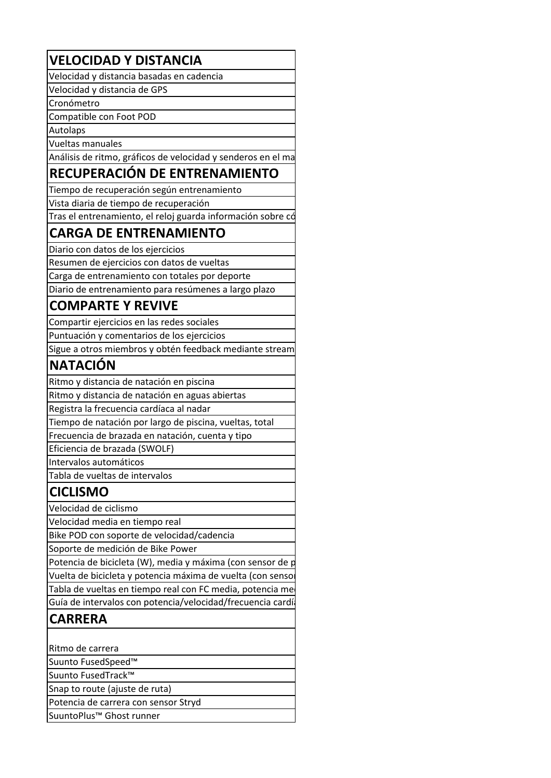### **VELOCIDAD Y DISTANCIA**

Velocidad y distancia basadas en cadencia

Velocidad y distancia de GPS

Cronómetro

Compatible con Foot POD

Autolaps

Vueltas manuales

Análisis de ritmo, gráficos de velocidad y senderos en el mapa

#### **RECUPERACIÓN DE ENTRENAMIENTO**

Tiempo de recuperación según entrenamiento

Vista diaria de tiempo de recuperación

Tras el entrenamiento, el reloj guarda información sobre có

## **CARGA DE ENTRENAMIENTO**

Diario con datos de los ejercicios

Resumen de ejercicios con datos de vueltas Carga de entrenamiento con totales por deporte

Diario de entrenamiento para resúmenes a largo plazo

#### **COMPARTE Y REVIVE**

Compartir ejercicios en las redes sociales

Puntuación y comentarios de los ejercicios

Sigue a otros miembros y obtén feedback mediante stream

## **NATACIÓN**

Ritmo y distancia de natación en piscina

Ritmo y distancia de natación en aguas abiertas

Registra la frecuencia cardíaca al nadar

Tiempo de natación por largo de piscina, vueltas, total

Frecuencia de brazada en natación, cuenta y tipo

Eficiencia de brazada (SWOLF)

Intervalos automáticos

Tabla de vueltas de intervalos

#### **CICLISMO**

Velocidad de ciclismo

Velocidad media en tiempo real

Bike POD con soporte de velocidad/cadencia

Soporte de medición de Bike Power

Potencia de bicicleta (W), media y máxima (con sensor de potencia) Vuelta de bicicleta y potencia máxima de vuelta (con senso Tabla de vueltas en tiempo real con FC media, potencia me

Guía de intervalos con potencia/velocidad/frecuencia cardí

#### **CARRERA**

Ritmo de carrera

Suunto FusedSpeed™

Suunto FusedTrack™

Snap to route (ajuste de ruta)

Potencia de carrera con sensor Stryd

SuuntoPlus™ Ghost runner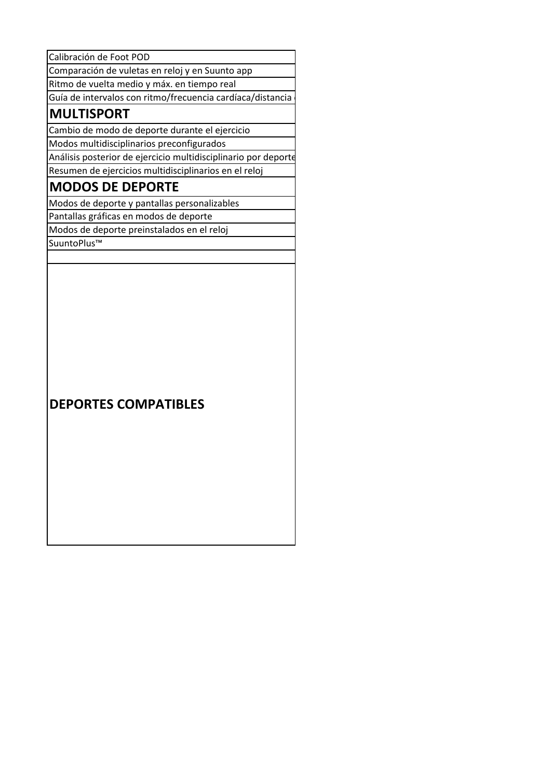Calibración de Foot POD

Comparación de vuletas en reloj y en Suunto app

Ritmo de vuelta medio y máx. en tiempo real

Guía de intervalos con ritmo/frecuencia cardíaca/distancia

#### **MULTISPORT**

Cambio de modo de deporte durante el ejercicio 

Modos multidisciplinarios preconfigurados

Análisis posterior de ejercicio multidisciplinario por deporte Resumen de ejercicios multidisciplinarios en el reloj

## **MODOS DE DEPORTE**

Modos de deporte y pantallas personalizables

Pantallas gráficas en modos de deporte

Modos de deporte preinstalados en el reloj

SuuntoPlus™

#### **DEPORTES COMPATIBLES**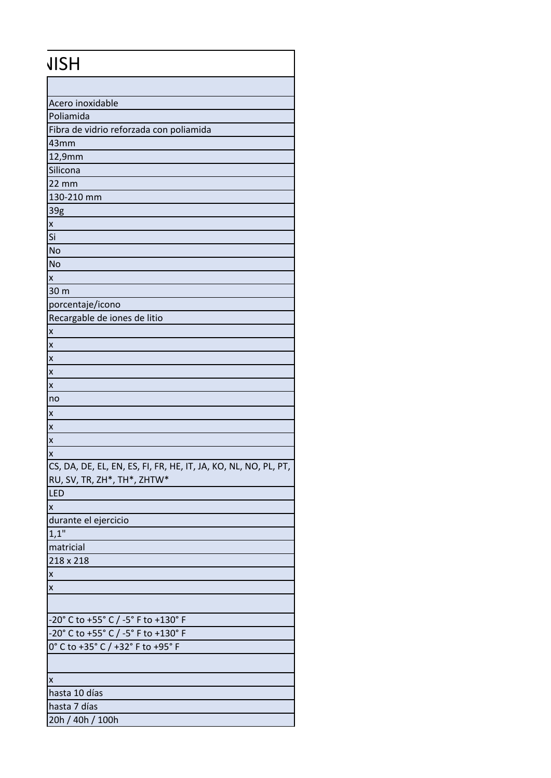#### Acero inoxidable Poliamida Fibra de vidrio reforzada con poliamida 43mm 12,9mm **Silicona** 22 mm 130-210 mm 39g x Si No No x 30 m porcentaje/icono Recargable de iones de litio x x x x x no x x x x CS, DA, DE, EL, EN, ES, FI, FR, HE, IT, JA, KO, NL, NO, PL, PT, RU, SV, TR, ZH\*, TH\*, ZHTW\* LED x durante el ejercicio  $1,1"$  matricial 218 x 218 x x -20° C to +55° C / -5° F to +130° F -20° C to +55° C / -5° F to +130° F 0° C to +35° C / +32° F to +95° F x hasta 10 días hasta 7 días 20h / 40h / 100h JISH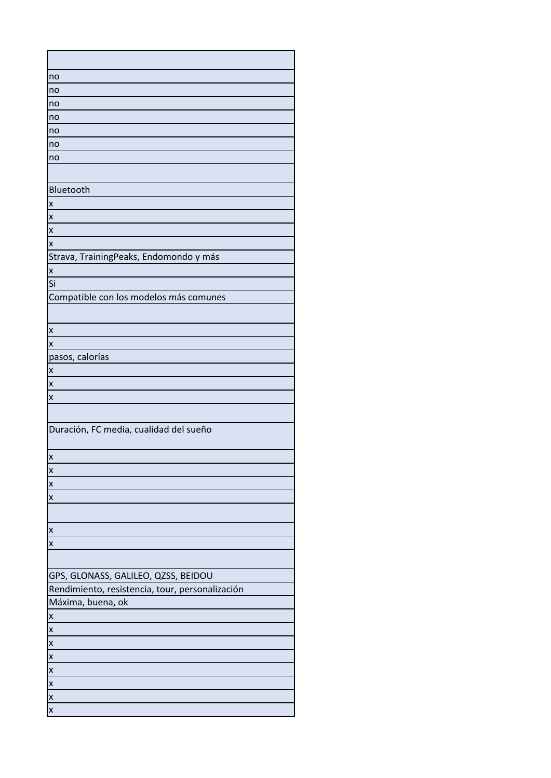| no                                              |
|-------------------------------------------------|
| no                                              |
| no                                              |
| no                                              |
| no                                              |
| no                                              |
| no                                              |
|                                                 |
| Bluetooth                                       |
| X                                               |
| X                                               |
| X                                               |
| X                                               |
| Strava, TrainingPeaks, Endomondo y más          |
| X                                               |
| Si                                              |
| Compatible con los modelos más comunes          |
|                                                 |
|                                                 |
| X<br>X                                          |
| pasos, calorías                                 |
| X                                               |
| X                                               |
| X                                               |
|                                                 |
| Duración, FC media, cualidad del sueño          |
|                                                 |
| X                                               |
| X                                               |
| $\overline{\mathsf{x}}$                         |
| X                                               |
|                                                 |
| X                                               |
| $\overline{\mathsf{x}}$                         |
|                                                 |
| GPS, GLONASS, GALILEO, QZSS, BEIDOU             |
| Rendimiento, resistencia, tour, personalización |
| Máxima, buena, ok                               |
| X                                               |
| X                                               |
| $\boldsymbol{\mathsf{x}}$                       |
| $\overline{\mathsf{x}}$                         |
| $\overline{\mathsf{x}}$                         |
| X                                               |
| X                                               |
| $\overline{\mathsf{x}}$                         |
|                                                 |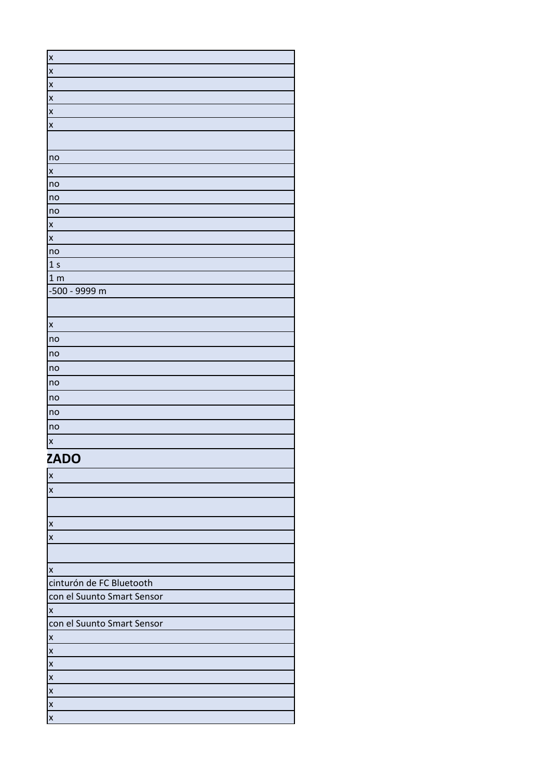| $\overline{\mathbf{x}}$ |
|-------------------------|
| $\mathbf{x}$            |
| $\overline{x}$          |
| $\overline{\mathbf{x}}$ |
| $\overline{\mathsf{x}}$ |
| $\overline{\mathbf{x}}$ |
|                         |
| n <u>o</u>              |
| $\mathsf{x}$            |
| no                      |
| no                      |
| no                      |
| $\mathsf{x}$            |
| $\mathsf{x}$            |
| no                      |
| 1 <sub>s</sub>          |
| 1 <sub>m</sub>          |
| -500 - 9999 m           |
|                         |
| $\mathsf{x}$            |
| no                      |
| no                      |
| no                      |
| no                      |
| no                      |
| no                      |
| no                      |
| $\mathsf{x}$            |
| <b>7ADO</b>             |

#### $ZADO$

| $\boldsymbol{\mathsf{X}}$  |  |
|----------------------------|--|
| $\pmb{\mathsf{x}}$         |  |
|                            |  |
| $\pmb{\mathsf{x}}$         |  |
| $\pmb{\mathsf{X}}$         |  |
|                            |  |
| $\pmb{\mathsf{x}}$         |  |
| cinturón de FC Bluetooth   |  |
| con el Suunto Smart Sensor |  |
| $\boldsymbol{\mathsf{x}}$  |  |
| con el Suunto Smart Sensor |  |
| $\pmb{\mathsf{X}}$         |  |
| $\pmb{\mathsf{x}}$         |  |
| $\pmb{\mathsf{x}}$         |  |
| $\boldsymbol{\mathsf{X}}$  |  |
| $\boldsymbol{\mathsf{X}}$  |  |
| $\boldsymbol{\mathsf{X}}$  |  |
| $\boldsymbol{\mathsf{X}}$  |  |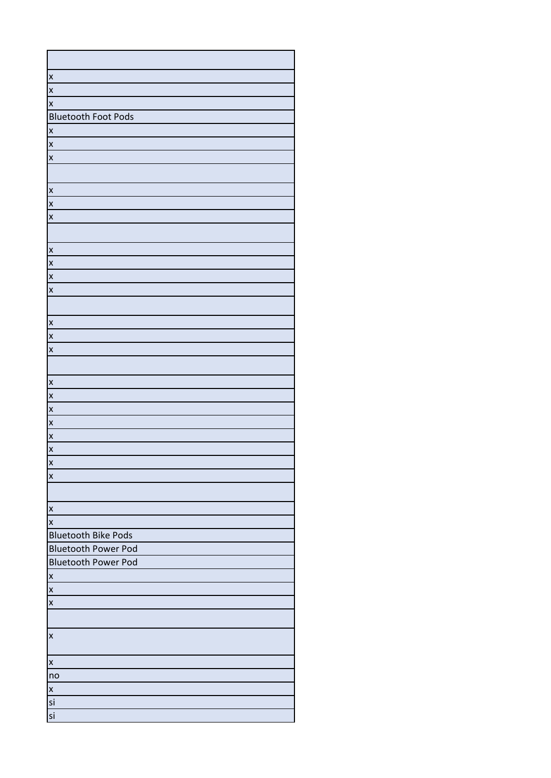| $\overline{\mathsf{x}}$    |
|----------------------------|
| $\mathsf{x}$               |
| $\overline{\mathsf{x}}$    |
| <b>Bluetooth Foot Pods</b> |
| $\mathsf{x}$               |
| $\overline{\mathbf{x}}$    |
| $\mathsf{x}$               |
|                            |
| $\mathsf{x}$               |
| $\mathsf{x}$               |
| $\mathsf{x}$               |
|                            |
| X                          |
| $\mathsf{x}$               |
| $\overline{\mathsf{x}}$    |
| $\overline{\mathbf{x}}$    |
|                            |
| $\mathsf{x}$               |
| $\mathsf{x}$               |
| $\mathsf{x}$               |
|                            |
| $\mathsf{x}$               |
| $\overline{\mathsf{x}}$    |
| $\overline{\mathsf{x}}$    |
| $\mathsf{x}$               |
| $\mathsf{x}$               |
| $\overline{\mathsf{x}}$    |
| $\overline{\mathbf{x}}$    |
| $\mathsf{x}$               |
|                            |
| $\mathsf{x}$               |
| $\mathsf{x}$               |
| <b>Bluetooth Bike Pods</b> |
| <b>Bluetooth Power Pod</b> |
| <b>Bluetooth Power Pod</b> |
| $\mathsf{x}$               |
| $\overline{\mathsf{x}}$    |
| $\boldsymbol{\mathsf{x}}$  |
|                            |
| $\pmb{\times}$             |
| $\mathsf{x}$               |
| no                         |
| $\overline{\mathsf{x}}$    |
| si                         |
| si                         |